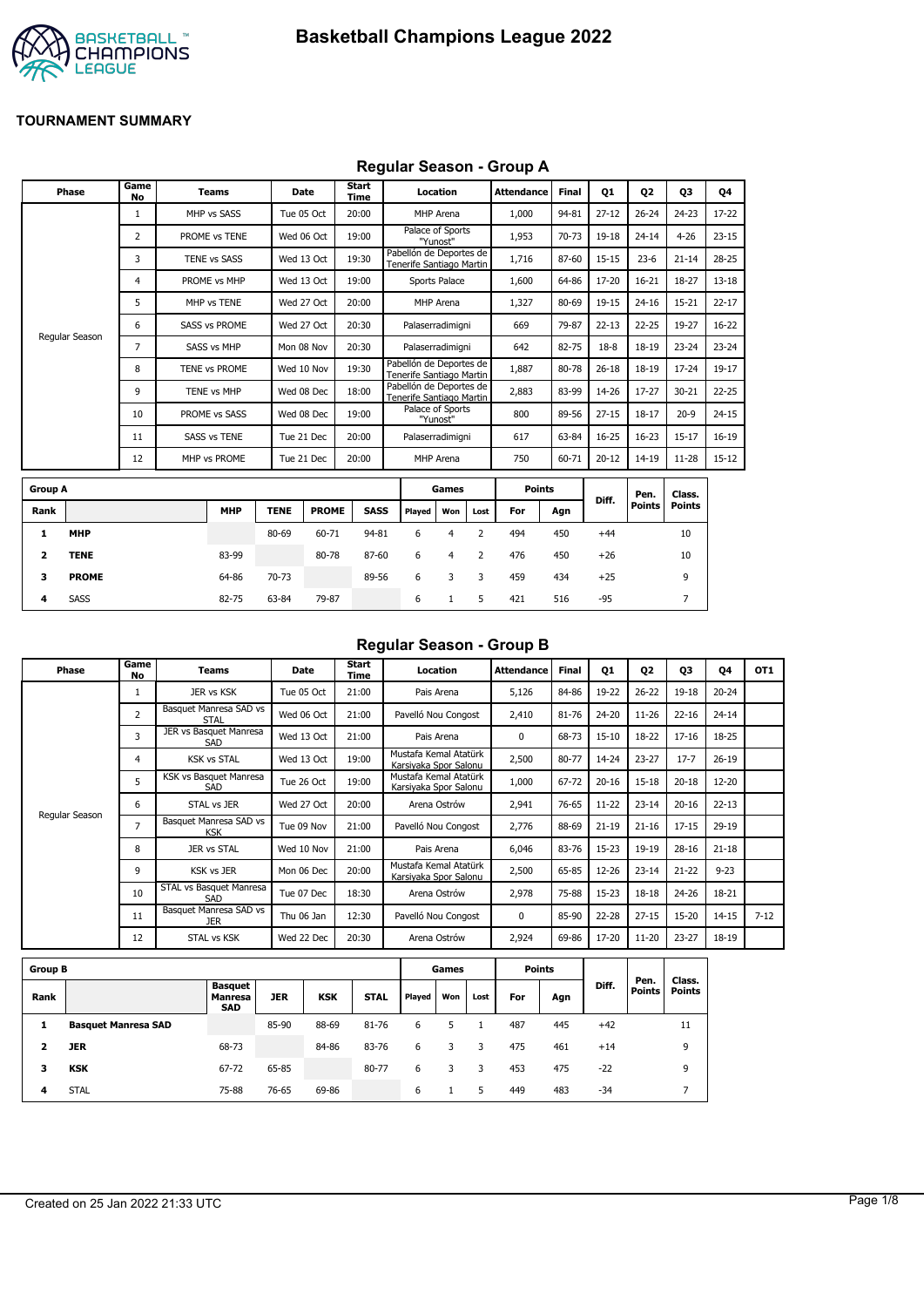

### **Regular Season - Group A**

|                | Phase          | Game<br><b>No</b> | <b>Teams</b>         | Date        |              | <b>Start</b><br><b>Time</b> |                                                     | Location                     |                | <b>Attendance</b> | <b>Final</b> | <b>Q1</b> | 02                    | 03                      | 04        |
|----------------|----------------|-------------------|----------------------|-------------|--------------|-----------------------------|-----------------------------------------------------|------------------------------|----------------|-------------------|--------------|-----------|-----------------------|-------------------------|-----------|
|                |                | $\mathbf{1}$      | MHP vs SASS          | Tue 05 Oct  |              | 20:00                       |                                                     | MHP Arena                    |                | 1,000             | 94-81        | $27 - 12$ | $26 - 24$             | $24 - 23$               | 17-22     |
|                |                | 2                 | PROME vs TENE        | Wed 06 Oct  |              | 19:00                       |                                                     | Palace of Sports<br>"Yunost" |                | 1,953             | 70-73        | 19-18     | $24 - 14$             | $4 - 26$                | $23 - 15$ |
|                |                | 3                 | <b>TENE vs SASS</b>  | Wed 13 Oct  |              | 19:30                       | Pabellón de Deportes de<br>Tenerife Santiago Martin |                              |                | 1,716             | 87-60        | $15 - 15$ | $23 - 6$              | $21 - 14$               | $28 - 25$ |
|                |                | 4                 | PROME vs MHP         | Wed 13 Oct  |              | 19:00                       |                                                     | Sports Palace                |                | 1,600             | 64-86        | 17-20     | $16 - 21$             | 18-27                   | $13 - 18$ |
|                |                | 5                 | MHP vs TENE          | Wed 27 Oct  |              | 20:00                       |                                                     | MHP Arena                    |                | 1,327             | 80-69        | 19-15     | $24 - 16$             | $15 - 21$               | $22 - 17$ |
|                |                | 6                 | <b>SASS vs PROME</b> | Wed 27 Oct  |              | 20:30                       |                                                     | Palaserradimigni             |                | 669               | 79-87        | $22 - 13$ | $22 - 25$             | 19-27                   | $16 - 22$ |
|                | Regular Season | 7                 | <b>SASS vs MHP</b>   | Mon 08 Nov  |              | 20:30                       |                                                     | Palaserradimigni             |                | 642               | 82-75        | $18-8$    | $18 - 19$             | $23 - 24$               | $23 - 24$ |
|                |                | 8                 | TENE vs PROME        | Wed 10 Nov  |              | 19:30                       | Pabellón de Deportes de<br>Tenerife Santiago Martin |                              |                | 1,887             | 80-78        | $26 - 18$ | $18 - 19$             | $17 - 24$               | 19-17     |
|                |                | 9                 | TENE vs MHP          | Wed 08 Dec  |              | 18:00                       | Pabellón de Deportes de<br>Tenerife Santiago Martin |                              |                | 2,883             | 83-99        | 14-26     | $17 - 27$             | $30 - 21$               | $22 - 25$ |
|                |                | 10                | PROME vs SASS        | Wed 08 Dec  |              | 19:00                       |                                                     | Palace of Sports<br>"Yunost" |                | 800               | 89-56        | $27 - 15$ | $18 - 17$             | $20-9$                  | $24 - 15$ |
|                |                | 11                | <b>SASS vs TENE</b>  | Tue 21 Dec  |              | 20:00                       |                                                     | Palaserradimigni             |                | 617               | 63-84        | $16 - 25$ | $16 - 23$             | $15 - 17$               | $16 - 19$ |
|                |                | 12                | MHP vs PROME         | Tue 21 Dec  |              | 20:00                       |                                                     | MHP Arena                    |                | 750               | 60-71        | $20 - 12$ | $14 - 19$             | $11 - 28$               | $15 - 12$ |
| <b>Group A</b> |                |                   |                      |             |              |                             |                                                     | Games                        |                | <b>Points</b>     |              |           |                       |                         |           |
| Rank           |                |                   | <b>MHP</b>           | <b>TENE</b> | <b>PROME</b> | <b>SASS</b>                 | Played                                              | Won                          | Lost           | For               | Agn          | Diff.     | Pen.<br><b>Points</b> | Class.<br><b>Points</b> |           |
| 1              | <b>MHP</b>     |                   |                      | 80-69       | 60-71        | 94-81                       | 6                                                   | 4                            | $\overline{2}$ | 494               | 450          | $+44$     |                       | 10                      |           |
| 2              | <b>TENE</b>    |                   | 83-99                |             | 80-78        | 87-60                       | 6                                                   | $\overline{4}$               | 2              | 476               | 450          | $+26$     |                       | 10                      |           |
| 3              | <b>PROME</b>   |                   | 64-86                | 70-73       |              | 89-56                       | 6                                                   | 3                            | 3              | 459               | 434          | $+25$     |                       | 9                       |           |

**4** SASS 82-75 63-84 79-87 6 1 5 421 516 -95 7

## **Regular Season - Group B**

| Phase          | Game<br>No     | Teams                                | Date       | Start<br>Time | Location                                       | <b>Attendance</b> | <b>Final</b> | 01        | 02        | 03        | 04        | OT <sub>1</sub> |
|----------------|----------------|--------------------------------------|------------|---------------|------------------------------------------------|-------------------|--------------|-----------|-----------|-----------|-----------|-----------------|
|                |                | JER vs KSK                           | Tue 05 Oct | 21:00         | Pais Arena                                     | 5,126             | 84-86        | 19-22     | $26 - 22$ | $19 - 18$ | $20 - 24$ |                 |
|                | $\overline{2}$ | Basquet Manresa SAD vs<br>STAL       | Wed 06 Oct | 21:00         | Pavelló Nou Congost                            | 2,410             | 81-76        | 24-20     | $11 - 26$ | $22 - 16$ | $24 - 14$ |                 |
|                | 3              | JER vs Basquet Manresa<br>SAD        | Wed 13 Oct | 21:00         | Pais Arena                                     | $\Omega$          | 68-73        | $15 - 10$ | 18-22     | $17 - 16$ | 18-25     |                 |
|                | 4              | <b>KSK vs STAL</b>                   | Wed 13 Oct | 19:00         | Mustafa Kemal Atatürk<br>Karsivaka Spor Salonu | 2,500             | 80-77        | 14-24     | $23 - 27$ | $17 - 7$  | $26 - 19$ |                 |
|                | 5              | KSK vs Basquet Manresa<br>SAD        | Tue 26 Oct | 19:00         | Mustafa Kemal Atatürk<br>Karsiyaka Spor Salonu | 1,000             | 67-72        | $20 - 16$ | $15 - 18$ | $20 - 18$ | $12 - 20$ |                 |
|                | 6              | STAL vs JER                          | Wed 27 Oct | 20:00         | Arena Ostrów                                   | 2,941             | 76-65        | $11 - 22$ | $23 - 14$ | $20 - 16$ | $22 - 13$ |                 |
| Regular Season | 7              | Basquet Manresa SAD vs<br><b>KSK</b> | Tue 09 Nov | 21:00         | Pavelló Nou Congost                            | 2,776             | 88-69        | $21 - 19$ | $21 - 16$ | $17 - 15$ | 29-19     |                 |
|                | 8              | JER vs STAL                          | Wed 10 Nov | 21:00         | Pais Arena                                     | 6,046             | 83-76        | $15-23$   | 19-19     | $28 - 16$ | $21 - 18$ |                 |
|                | 9              | <b>KSK vs JER</b>                    | Mon 06 Dec | 20:00         | Mustafa Kemal Atatürk<br>Karsiyaka Spor Salonu | 2,500             | 65-85        | 12-26     | $23 - 14$ | $21 - 22$ | $9 - 23$  |                 |
|                | 10             | STAL vs Basquet Manresa<br>SAD       | Tue 07 Dec | 18:30         | Arena Ostrów                                   | 2,978             | 75-88        | $15 - 23$ | $18 - 18$ | $24 - 26$ | 18-21     |                 |
|                | 11             | Basquet Manresa SAD vs<br><b>JER</b> | Thu 06 Jan | 12:30         | Pavelló Nou Congost                            | $\Omega$          | 85-90        | $22 - 28$ | $27 - 15$ | $15 - 20$ | $14 - 15$ | $7 - 12$        |
|                | 12             | STAL vs KSK                          | Wed 22 Dec | 20:30         | Arena Ostrów                                   | 2,924             | 69-86        | 17-20     | $11 - 20$ | $23 - 27$ | 18-19     |                 |

| <b>Group B</b> |                            |                                                |            |            |             |        | Games |      |     | <b>Points</b> |       |                       |                         |
|----------------|----------------------------|------------------------------------------------|------------|------------|-------------|--------|-------|------|-----|---------------|-------|-----------------------|-------------------------|
| Rank           |                            | <b>Basquet</b><br><b>Manresa</b><br><b>SAD</b> | <b>JER</b> | <b>KSK</b> | <b>STAL</b> | Played | Won   | Lost | For | Agn           | Diff. | Pen.<br><b>Points</b> | Class.<br><b>Points</b> |
|                | <b>Basquet Manresa SAD</b> |                                                | 85-90      | 88-69      | 81-76       | 6      | 5     |      | 487 | 445           | $+42$ |                       | 11                      |
|                | <b>JER</b>                 | 68-73                                          |            | 84-86      | 83-76       | 6      | 3     | 3.   | 475 | 461           | $+14$ |                       | 9                       |
| з              | <b>KSK</b>                 | 67-72                                          | 65-85      |            | 80-77       | 6      | 3     | 3    | 453 | 475           | $-22$ |                       | 9                       |
| 4              | <b>STAL</b>                | 75-88                                          | 76-65      | 69-86      |             | 6      |       | 5    | 449 | 483           | -34   |                       |                         |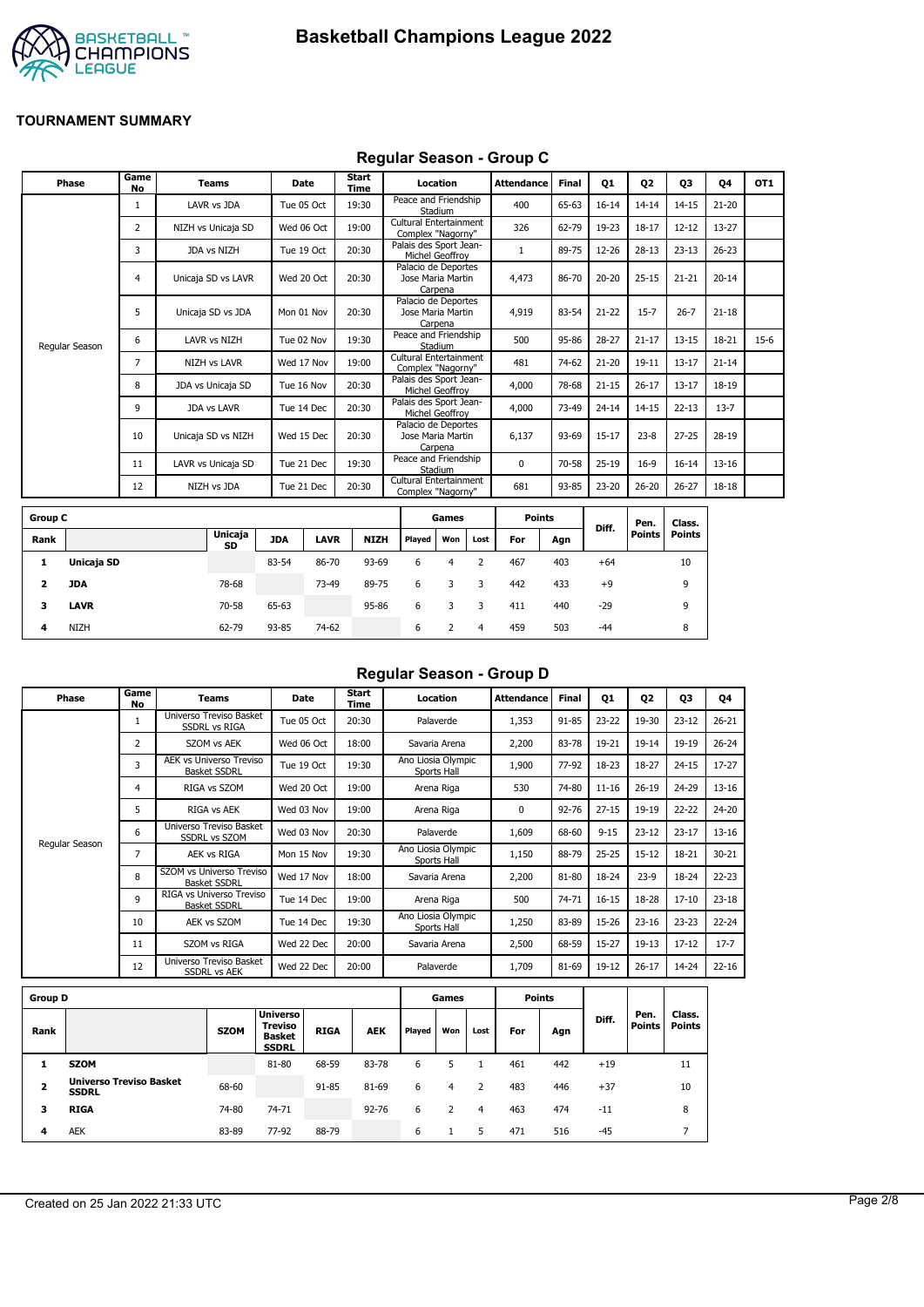



#### **Regular Season - Group C**

| Phase          | Game<br><b>No</b> | <b>Teams</b>        | Date       | Start<br>Time | Location                                            | Attendance | <b>Final</b> | Q1        | Q <sub>2</sub> | Q3        | 04        | OT <sub>1</sub> |
|----------------|-------------------|---------------------|------------|---------------|-----------------------------------------------------|------------|--------------|-----------|----------------|-----------|-----------|-----------------|
|                |                   | LAVR vs JDA         | Tue 05 Oct | 19:30         | Peace and Friendship<br>Stadium                     | 400        | 65-63        | $16 - 14$ | $14 - 14$      | $14 - 15$ | $21 - 20$ |                 |
|                | 2                 | NIZH vs Unicaja SD  | Wed 06 Oct | 19:00         | Cultural Entertainment<br>Complex "Nagorny"         | 326        | 62-79        | 19-23     | $18 - 17$      | $12 - 12$ | 13-27     |                 |
|                | 3                 | JDA vs NIZH         | Tue 19 Oct | 20:30         | Palais des Sport Jean-<br>Michel Geoffrov           |            | 89-75        | 12-26     | $28 - 13$      | $23 - 13$ | $26 - 23$ |                 |
|                | 4                 | Unicaja SD vs LAVR  | Wed 20 Oct | 20:30         | Palacio de Deportes<br>Jose Maria Martin<br>Carpena | 4,473      | 86-70        | $20 - 20$ | $25 - 15$      | $21 - 21$ | $20 - 14$ |                 |
|                | 5                 | Unicaja SD vs JDA   | Mon 01 Nov | 20:30         | Palacio de Deportes<br>Jose Maria Martin<br>Carpena | 4,919      | 83-54        | $21 - 22$ | $15 - 7$       | $26 - 7$  | $21 - 18$ |                 |
| Regular Season | 6                 | LAVR vs NIZH        | Tue 02 Nov | 19:30         | Peace and Friendship<br>Stadium                     | 500        | 95-86        | $28 - 27$ | $21 - 17$      | $13 - 15$ | 18-21     | $15-6$          |
|                | 7                 | <b>NIZH vs LAVR</b> | Wed 17 Nov | 19:00         | Cultural Entertainment<br>Complex "Nagorny"         | 481        | 74-62        | $21 - 20$ | $19 - 11$      | $13 - 17$ | $21 - 14$ |                 |
|                | 8                 | JDA vs Unicaja SD   | Tue 16 Nov | 20:30         | Palais des Sport Jean-<br>Michel Geoffrov           | 4,000      | 78-68        | $21 - 15$ | $26 - 17$      | $13 - 17$ | 18-19     |                 |
|                | 9                 | <b>JDA vs LAVR</b>  | Tue 14 Dec | 20:30         | Palais des Sport Jean-<br>Michel Geoffrov           | 4,000      | 73-49        | $24 - 14$ | $14 - 15$      | $22 - 13$ | $13 - 7$  |                 |
|                | 10                | Unicaja SD vs NIZH  | Wed 15 Dec | 20:30         | Palacio de Deportes<br>Jose Maria Martin<br>Carpena | 6,137      | 93-69        | $15 - 17$ | $23 - 8$       | $27 - 25$ | 28-19     |                 |
|                | 11                | LAVR vs Unicaja SD  | Tue 21 Dec | 19:30         | Peace and Friendship<br>Stadium                     | 0          | 70-58        | $25-19$   | $16-9$         | $16 - 14$ | $13 - 16$ |                 |
|                | 12                | NIZH vs JDA         | Tue 21 Dec | 20:30         | Cultural Entertainment<br>Complex "Nagorny"         | 681        | 93-85        | 23-20     | $26 - 20$      | $26 - 27$ | 18-18     |                 |
|                |                   |                     |            |               |                                                     |            |              |           |                |           |           |                 |

| <b>Group C</b> |             |               |            |             |             |        | Games |      |     | <b>Points</b> |       | Pen.          | Class. |
|----------------|-------------|---------------|------------|-------------|-------------|--------|-------|------|-----|---------------|-------|---------------|--------|
| Rank           |             | Unicaja<br>SD | <b>JDA</b> | <b>LAVR</b> | <b>NIZH</b> | Played | Won   | Lost | For | Agn           | Diff. | <b>Points</b> | Points |
|                | Unicaja SD  |               | 83-54      | 86-70       | 93-69       | 6      | 4     |      | 467 | 403           | $+64$ |               | 10     |
| 2              | <b>JDA</b>  | 78-68         |            | 73-49       | 89-75       | 6      | 3     | 3    | 442 | 433           | $+9$  |               | 9      |
| 3              | <b>LAVR</b> | 70-58         | 65-63      |             | 95-86       | 6      |       |      | 411 | 440           | $-29$ |               | 9      |
| 4              | <b>NIZH</b> | 62-79         | 93-85      | 74-62       |             | 6      |       | 4    | 459 | 503           | $-44$ |               | 8      |

## **Regular Season - Group D**

| Phase          | Game<br>No     | Teams                                                 | <b>Date</b> | Start<br>Time | Location                          | <b>Attendance</b> | <b>Final</b> | Q1        | Q <sub>2</sub> | Q3        | Q4        |
|----------------|----------------|-------------------------------------------------------|-------------|---------------|-----------------------------------|-------------------|--------------|-----------|----------------|-----------|-----------|
|                | $\mathbf{1}$   | Universo Treviso Basket<br>SSDRL vs RIGA              | Tue 05 Oct  | 20:30         | Palaverde                         | 1,353             | 91-85        | 23-22     | 19-30          | $23 - 12$ | $26 - 21$ |
|                | $\overline{2}$ | SZOM vs AEK                                           | Wed 06 Oct  | 18:00         | Savaria Arena                     | 2,200             | 83-78        | 19-21     | $19 - 14$      | 19-19     | $26 - 24$ |
|                | 3              | <b>AEK vs Universo Treviso</b><br><b>Basket SSDRL</b> | Tue 19 Oct  | 19:30         | Ano Liosia Olympic<br>Sports Hall | 1,900             | 77-92        | 18-23     | 18-27          | $24 - 15$ | $17 - 27$ |
|                | 4              | RIGA vs SZOM                                          | Wed 20 Oct  | 19:00         | Arena Riga                        | 530               | 74-80        | $11 - 16$ | $26 - 19$      | 24-29     | $13 - 16$ |
|                | 5              | RIGA vs AEK                                           | Wed 03 Nov  | 19:00         | Arena Riga                        | 0                 | 92-76        | $27 - 15$ | 19-19          | 22-22     | 24-20     |
|                | 6              | Universo Treviso Basket<br><b>SSDRL vs SZOM</b>       | Wed 03 Nov  | 20:30         | Palaverde                         | 1,609             | 68-60        | $9 - 15$  | $23 - 12$      | $23 - 17$ | $13 - 16$ |
| Regular Season | 7              | AEK vs RIGA                                           | Mon 15 Nov  | 19:30         | Ano Liosia Olympic<br>Sports Hall | 1,150             | 88-79        | $25 - 25$ | $15 - 12$      | 18-21     | $30 - 21$ |
|                | 8              | SZOM vs Universo Treviso<br><b>Basket SSDRL</b>       | Wed 17 Nov  | 18:00         | Savaria Arena                     | 2,200             | 81-80        | 18-24     | $23-9$         | 18-24     | $22 - 23$ |
|                | 9              | RIGA vs Universo Treviso<br><b>Basket SSDRL</b>       | Tue 14 Dec  | 19:00         | Arena Riga                        | 500               | 74-71        | $16 - 15$ | 18-28          | $17 - 10$ | $23-18$   |
|                | 10             | AEK vs SZOM                                           | Tue 14 Dec  | 19:30         | Ano Liosia Olympic<br>Sports Hall | 1,250             | 83-89        | 15-26     | $23 - 16$      | $23 - 23$ | $22 - 24$ |
|                | 11             | SZOM vs RIGA                                          | Wed 22 Dec  | 20:00         | Savaria Arena                     | 2,500             | 68-59        | $15 - 27$ | $19-13$        | $17 - 12$ | $17 - 7$  |
|                | 12             | Universo Treviso Basket<br><b>SSDRL vs AEK</b>        | Wed 22 Dec  | 20:00         | Palaverde                         | 1,709             | 81-69        | 19-12     | $26 - 17$      | 14-24     | $22 - 16$ |
|                |                |                                                       |             |               |                                   |                   |              |           |                |           |           |

| <b>Group D</b>          |                                                |             |                                                                    |             |            |               | Games |      |     | Points |       |                       |                         |
|-------------------------|------------------------------------------------|-------------|--------------------------------------------------------------------|-------------|------------|---------------|-------|------|-----|--------|-------|-----------------------|-------------------------|
| Rank                    |                                                | <b>SZOM</b> | <b>Universo</b><br><b>Treviso</b><br><b>Basket</b><br><b>SSDRL</b> | <b>RIGA</b> | <b>AEK</b> | <b>Played</b> | Won   | Lost | For | Agn    | Diff. | Pen.<br><b>Points</b> | Class.<br><b>Points</b> |
|                         | <b>SZOM</b>                                    |             | 81-80                                                              | 68-59       | 83-78      | 6             |       |      | 461 | 442    | $+19$ |                       | 11                      |
| $\overline{\mathbf{z}}$ | <b>Universo Treviso Basket</b><br><b>SSDRL</b> | 68-60       |                                                                    | 91-85       | 81-69      | 6             | 4     |      | 483 | 446    | $+37$ |                       | 10                      |
| з                       | <b>RIGA</b>                                    | 74-80       | 74-71                                                              |             | $92 - 76$  | 6             |       | 4    | 463 | 474    | $-11$ |                       | 8                       |
| 4                       | <b>AEK</b>                                     | 83-89       | 77-92                                                              | 88-79       |            | 6             |       | 5    | 471 | 516    | $-45$ |                       |                         |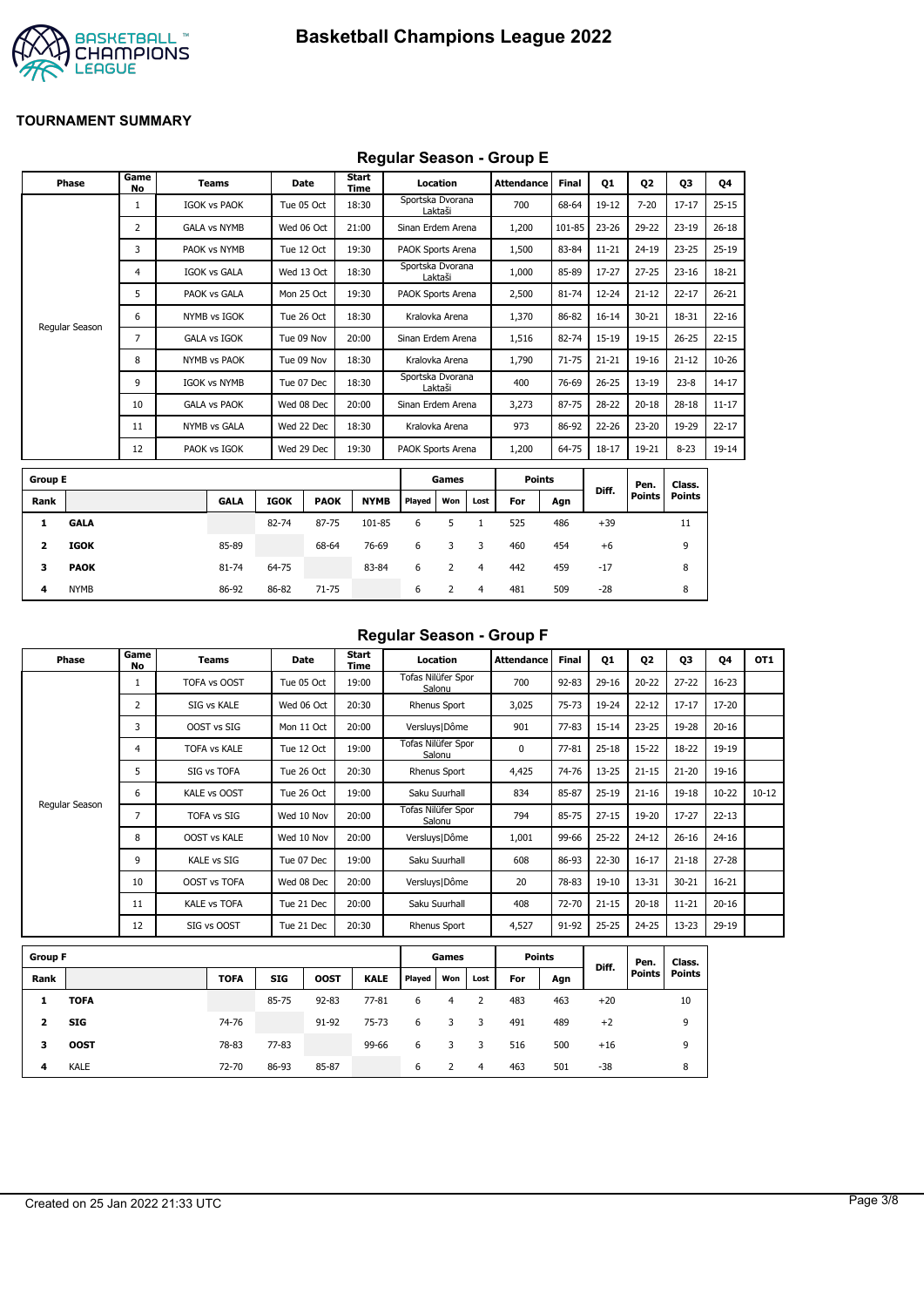

## **Regular Season - Group E**

|                | Phase          | Game<br>No     | <b>Teams</b>        |             | <b>Date</b> | Start<br>Time |                   | Location |                | <b>Attendance</b> | <b>Final</b> | 01        | <b>Q2</b>     | 03            | Q4        |
|----------------|----------------|----------------|---------------------|-------------|-------------|---------------|-------------------|----------|----------------|-------------------|--------------|-----------|---------------|---------------|-----------|
|                |                | $\mathbf{1}$   | <b>IGOK vs PAOK</b> |             | Tue 05 Oct  | 18:30         | Sportska Dvorana  | Laktaši  |                | 700               | 68-64        | $19-12$   | $7 - 20$      | $17 - 17$     | $25 - 15$ |
|                |                | $\overline{2}$ | <b>GALA vs NYMB</b> |             | Wed 06 Oct  | 21:00         | Sinan Erdem Arena |          |                | 1,200             | 101-85       | $23 - 26$ | 29-22         | $23 - 19$     | $26 - 18$ |
|                |                | 3              | PAOK vs NYMB        |             | Tue 12 Oct  | 19:30         | PAOK Sports Arena |          |                | 1,500             | 83-84        | $11 - 21$ | $24 - 19$     | $23 - 25$     | $25-19$   |
|                |                | 4              | <b>IGOK vs GALA</b> |             | Wed 13 Oct  | 18:30         | Sportska Dvorana  | Laktaši  |                | 1,000             | 85-89        | 17-27     | $27 - 25$     | $23 - 16$     | 18-21     |
|                |                | 5              | PAOK vs GALA        |             | Mon 25 Oct  | 19:30         | PAOK Sports Arena |          |                | 2,500             | 81-74        | 12-24     | $21 - 12$     | $22 - 17$     | $26 - 21$ |
|                |                | 6              | NYMB vs IGOK        |             | Tue 26 Oct  | 18:30         | Kralovka Arena    |          |                | 1,370             | 86-82        | $16 - 14$ | $30 - 21$     | 18-31         | $22 - 16$ |
|                | Regular Season | 7              | <b>GALA vs IGOK</b> |             | Tue 09 Nov  | 20:00         | Sinan Erdem Arena |          |                | 1,516             | 82-74        | 15-19     | $19 - 15$     | $26 - 25$     | $22 - 15$ |
|                |                | 8              | NYMB vs PAOK        |             | Tue 09 Nov  | 18:30         | Kralovka Arena    |          |                | 1,790             | $71 - 75$    | $21 - 21$ | $19 - 16$     | $21 - 12$     | $10 - 26$ |
|                |                | 9              | <b>IGOK vs NYMB</b> |             | Tue 07 Dec  | 18:30         | Sportska Dvorana  | Laktaši  |                | 400               | 76-69        | $26 - 25$ | $13 - 19$     | $23 - 8$      | $14 - 17$ |
|                |                | 10             | <b>GALA vs PAOK</b> |             | Wed 08 Dec  | 20:00         | Sinan Erdem Arena |          |                | 3,273             | 87-75        | 28-22     | $20 - 18$     | $28 - 18$     | $11 - 17$ |
|                |                | 11             | NYMB vs GALA        |             | Wed 22 Dec  | 18:30         | Kralovka Arena    |          |                | 973               | 86-92        | 22-26     | $23 - 20$     | 19-29         | $22 - 17$ |
|                |                | 12             | PAOK vs IGOK        |             | Wed 29 Dec  | 19:30         | PAOK Sports Arena |          |                | 1,200             | 64-75        | $18 - 17$ | 19-21         | $8 - 23$      | 19-14     |
| <b>Group E</b> |                |                |                     |             |             |               |                   | Games    |                | <b>Points</b>     |              |           | Pen.          | Class.        |           |
| Rank           |                |                | <b>GALA</b>         | <b>IGOK</b> | <b>PAOK</b> | <b>NYMB</b>   | Played            | Won      | Lost           | For               | Agn          | Diff.     | <b>Points</b> | <b>Points</b> |           |
| 1              | <b>GALA</b>    |                |                     | 82-74       | 87-75       | 101-85        | 6                 | 5        | $\mathbf{1}$   | 525               | 486          | $+39$     |               | 11            |           |
| 2              | <b>IGOK</b>    |                | 85-89               |             | 68-64       | 76-69         | 6                 | 3        | 3              | 460               | 454          | $+6$      |               | 9             |           |
| 3              | <b>PAOK</b>    |                | 81-74               | 64-75       |             | 83-84         | 6                 | 2        | $\overline{4}$ | 442               | 459          | $-17$     |               | 8             |           |
| 4              | <b>NYMB</b>    |                | 86-92               | 86-82       | 71-75       |               | 6                 | 2        | 4              | 481               | 509          | $-28$     |               | 8             |           |

#### **Regular Season - Group F**

| Phase          | Game<br>No     | Teams               | Date       | Start<br>Time | Location                     | <b>Attendance</b> | <b>Final</b> | Q1        | Q <sub>2</sub> | Q <sub>3</sub> | 04        | OT <sub>1</sub> |
|----------------|----------------|---------------------|------------|---------------|------------------------------|-------------------|--------------|-----------|----------------|----------------|-----------|-----------------|
|                |                | TOFA vs OOST        | Tue 05 Oct | 19:00         | Tofas Nilüfer Spor<br>Salonu | 700               | $92 - 83$    | $29-16$   | $20 - 22$      | $27 - 22$      | $16 - 23$ |                 |
|                | $\overline{2}$ | SIG vs KALE         | Wed 06 Oct | 20:30         | Rhenus Sport                 | 3,025             | $75 - 73$    | 19-24     | $22 - 12$      | $17 - 17$      | 17-20     |                 |
|                | 3              | OOST vs SIG         | Mon 11 Oct | 20:00         | Versluys   Dôme              | 901               | $77 - 83$    | $15 - 14$ | $23 - 25$      | 19-28          | $20 - 16$ |                 |
|                | 4              | <b>TOFA vs KALE</b> | Tue 12 Oct | 19:00         | Tofas Nilüfer Spor<br>Salonu | 0                 | $77 - 81$    | $25 - 18$ | $15-22$        | $18 - 22$      | 19-19     |                 |
|                | 5              | SIG vs TOFA         | Tue 26 Oct | 20:30         | Rhenus Sport                 | 4,425             | 74-76        | $13 - 25$ | $21 - 15$      | $21 - 20$      | 19-16     |                 |
|                | 6              | KALE vs OOST        | Tue 26 Oct | 19:00         | Saku Suurhall                | 834               | 85-87        | $25-19$   | $21 - 16$      | 19-18          | $10 - 22$ | $10 - 12$       |
| Regular Season | 7              | <b>TOFA vs SIG</b>  | Wed 10 Nov | 20:00         | Tofas Nilüfer Spor<br>Salonu | 794               | 85-75        | $27 - 15$ | 19-20          | $17 - 27$      | $22 - 13$ |                 |
|                | 8              | <b>OOST vs KALE</b> | Wed 10 Nov | 20:00         | Versluys   Dôme              | 1,001             | 99-66        | $25 - 22$ | $24 - 12$      | $26 - 16$      | $24 - 16$ |                 |
|                | 9              | <b>KALE vs SIG</b>  | Tue 07 Dec | 19:00         | Saku Suurhall                | 608               | 86-93        | 22-30     | $16 - 17$      | $21 - 18$      | $27 - 28$ |                 |
|                | 10             | <b>OOST vs TOFA</b> | Wed 08 Dec | 20:00         | Versluys   Dôme              | 20                | 78-83        | $19-10$   | 13-31          | $30 - 21$      | $16 - 21$ |                 |
|                | 11             | <b>KALE vs TOFA</b> | Tue 21 Dec | 20:00         | Saku Suurhall                | 408               | 72-70        | $21 - 15$ | $20 - 18$      | $11 - 21$      | $20 - 16$ |                 |
|                | 12             | SIG vs OOST         | Tue 21 Dec | 20:30         | Rhenus Sport                 | 4,527             | 91-92        | $25 - 25$ | $24 - 25$      | $13 - 23$      | $29-19$   |                 |

| <b>Group F</b> |             |             |            |             |             |        | Games |      | <b>Points</b> |     |       | Pen.          | Class.        |
|----------------|-------------|-------------|------------|-------------|-------------|--------|-------|------|---------------|-----|-------|---------------|---------------|
| Rank           |             | <b>TOFA</b> | <b>SIG</b> | <b>OOST</b> | <b>KALE</b> | Played | Won   | Lost | For           | Agn | Diff. | <b>Points</b> | <b>Points</b> |
|                | <b>TOFA</b> |             | 85-75      | $92 - 83$   | $77 - 81$   | 6      | 4     |      | 483           | 463 | $+20$ |               | 10            |
| 2              | <b>SIG</b>  | 74-76       |            | 91-92       | 75-73       | 6      |       | 3    | 491           | 489 | $+2$  |               | 9             |
| з              | <b>OOST</b> | 78-83       | $77 - 83$  |             | 99-66       | 6      |       | 3    | 516           | 500 | $+16$ |               | 9             |
| 4              | <b>KALE</b> | 72-70       | 86-93      | 85-87       |             | 6      |       | 4    | 463           | 501 | $-38$ |               | 8             |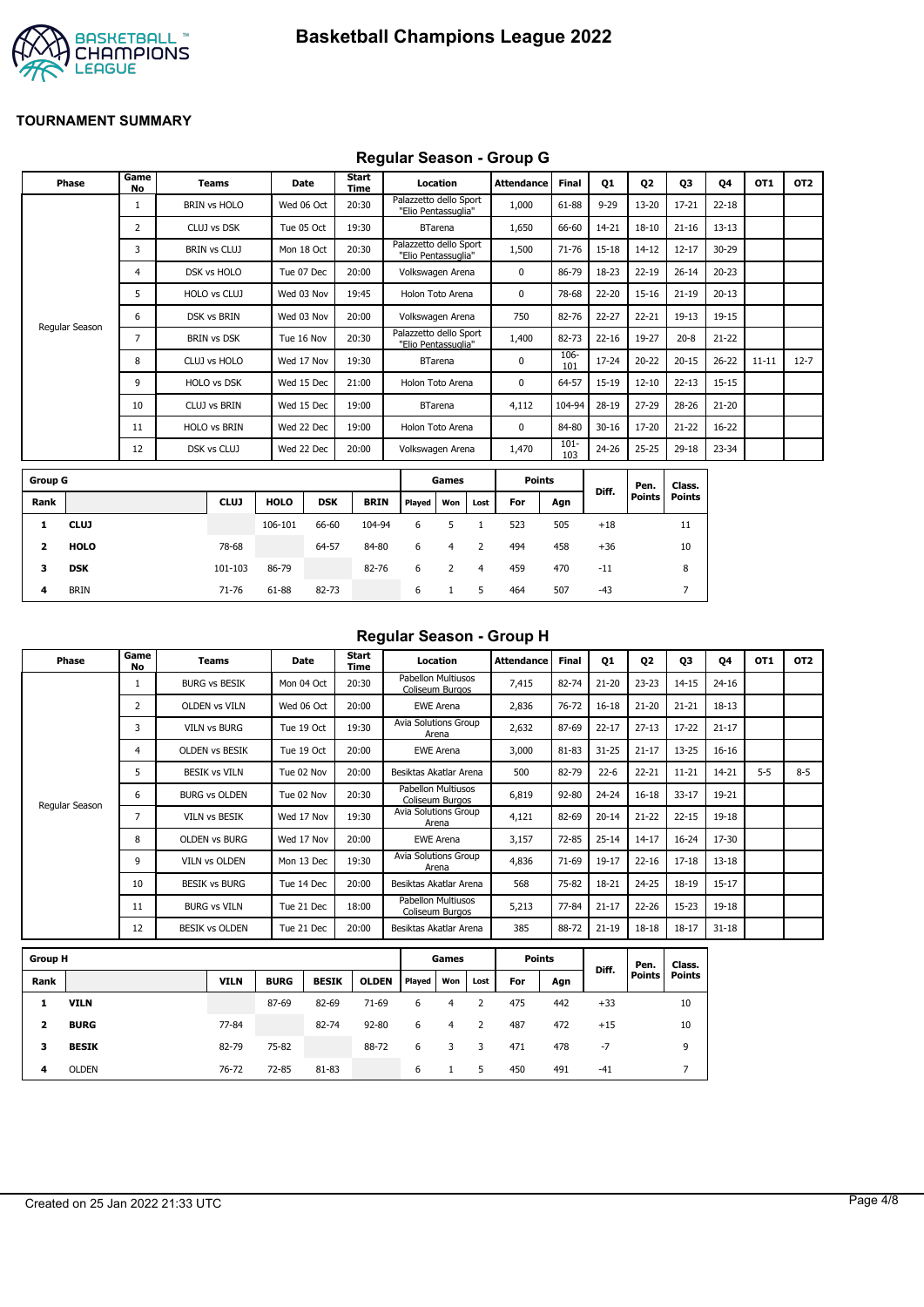

## **Regular Season - Group G**

|                | <b>Phase</b>   | Game<br><b>No</b> | <b>Teams</b>        | Date        |            | <b>Start</b><br>Time |                                               | Location       |      | <b>Attendance</b> | Final          | Q1        | Q <sub>2</sub> | Q3            | Q4        | OT1       | OT <sub>2</sub> |
|----------------|----------------|-------------------|---------------------|-------------|------------|----------------------|-----------------------------------------------|----------------|------|-------------------|----------------|-----------|----------------|---------------|-----------|-----------|-----------------|
|                |                | 1                 | <b>BRIN vs HOLO</b> | Wed 06 Oct  |            | 20:30                | Palazzetto dello Sport<br>"Elio Pentassuglia" |                |      | 1,000             | 61-88          | $9 - 29$  | $13 - 20$      | $17 - 21$     | $22 - 18$ |           |                 |
|                |                | 2                 | CLUJ vs DSK         | Tue 05 Oct  |            | 19:30                |                                               | <b>BTarena</b> |      | 1,650             | 66-60          | 14-21     | $18 - 10$      | $21 - 16$     | $13 - 13$ |           |                 |
|                |                | 3                 | <b>BRIN vs CLUJ</b> |             | Mon 18 Oct | 20:30                | Palazzetto dello Sport<br>"Elio Pentassuglia" |                |      | 1,500             | $71 - 76$      | 15-18     | $14 - 12$      | $12 - 17$     | 30-29     |           |                 |
|                |                | 4                 | DSK vs HOLO         | Tue 07 Dec  |            | 20:00                | Volkswagen Arena                              |                |      | $\mathbf 0$       | 86-79          | 18-23     | $22 - 19$      | $26 - 14$     | $20 - 23$ |           |                 |
|                |                | 5                 | HOLO vs CLUJ        | Wed 03 Nov  |            | 19:45                | Holon Toto Arena                              |                |      | 0                 | 78-68          | 22-20     | $15 - 16$      | $21 - 19$     | $20 - 13$ |           |                 |
|                |                | 6                 | DSK vs BRIN         | Wed 03 Nov  |            | 20:00                | Volkswagen Arena                              |                |      | 750               | 82-76          | 22-27     | $22 - 21$      | $19 - 13$     | 19-15     |           |                 |
|                | Regular Season | 7                 | <b>BRIN vs DSK</b>  | Tue 16 Nov  |            | 20:30                | Palazzetto dello Sport<br>"Elio Pentassuglia" |                |      | 1,400             | 82-73          | $22 - 16$ | 19-27          | $20 - 8$      | $21 - 22$ |           |                 |
|                |                | 8                 | CLUJ vs HOLO        | Wed 17 Nov  |            | 19:30                |                                               | <b>BTarena</b> |      | $\mathbf 0$       | 106-<br>101    | 17-24     | $20 - 22$      | $20 - 15$     | $26 - 22$ | $11 - 11$ | $12 - 7$        |
|                |                | 9                 | <b>HOLO vs DSK</b>  | Wed 15 Dec  |            | 21:00                | Holon Toto Arena                              |                |      | 0                 | 64-57          | 15-19     | $12 - 10$      | $22 - 13$     | $15 - 15$ |           |                 |
|                |                | 10                | <b>CLUJ vs BRIN</b> | Wed 15 Dec  |            | 19:00                |                                               | <b>BTarena</b> |      | 4,112             | 104-94         | 28-19     | $27 - 29$      | 28-26         | $21 - 20$ |           |                 |
|                |                | 11                | <b>HOLO vs BRIN</b> | Wed 22 Dec  |            | 19:00                | Holon Toto Arena                              |                |      | $\mathbf 0$       | 84-80          | $30 - 16$ | 17-20          | $21 - 22$     | $16 - 22$ |           |                 |
|                |                | 12                | DSK vs CLUJ         | Wed 22 Dec  |            | 20:00                | Volkswagen Arena                              |                |      | 1,470             | $101 -$<br>103 | 24-26     | $25 - 25$      | 29-18         | 23-34     |           |                 |
| <b>Group G</b> |                |                   |                     |             |            |                      |                                               | Games          |      | <b>Points</b>     |                |           | Pen.           | Class.        |           |           |                 |
| Rank           |                |                   | <b>CLUJ</b>         | <b>HOLO</b> | <b>DSK</b> | <b>BRIN</b>          | Played                                        | Won            | Lost | For               | Agn            | Diff.     | <b>Points</b>  | <b>Points</b> |           |           |                 |
| 1              | <b>CLUJ</b>    |                   |                     | 106-101     | 66-60      | 104-94               | 6                                             | 5              |      | 523               | 505            | $+18$     |                | 11            |           |           |                 |

| $\mathbf{2}$ | <b>HOLO</b> | 78-68   |       | 64-57 | 84-80 | 6 | $\overline{4}$ | 2              | 494 | 458 | $+36$ | 10 |
|--------------|-------------|---------|-------|-------|-------|---|----------------|----------------|-----|-----|-------|----|
| 3            | DSK         | 101-103 | 86-79 |       | 82-76 | 6 | 2              | $\overline{4}$ | 459 | 470 | $-11$ | 8  |
| 4            | <b>BRIN</b> | 71-76   | 61-88 | 82-73 |       | 6 |                | $5^{\circ}$    | 464 | 507 | -43   |    |
|              |             |         |       |       |       |   |                |                |     |     |       |    |

#### **Regular Season - Group H**

| Phase          | Game<br>No | Teams                 | Date       | Start<br>Time | Location                              | <b>Attendance</b> | <b>Final</b> | Q1        | Q <sub>2</sub> | Q3        | 04        | OT <sub>1</sub> | OT <sub>2</sub> |
|----------------|------------|-----------------------|------------|---------------|---------------------------------------|-------------------|--------------|-----------|----------------|-----------|-----------|-----------------|-----------------|
|                |            | <b>BURG vs BESIK</b>  | Mon 04 Oct | 20:30         | Pabellon Multiusos<br>Coliseum Burgos | 7,415             | 82-74        | $21 - 20$ | $23 - 23$      | $14 - 15$ | $24 - 16$ |                 |                 |
|                | 2          | <b>OLDEN vs VILN</b>  | Wed 06 Oct | 20:00         | <b>EWE Arena</b>                      | 2,836             | $76 - 72$    | $16 - 18$ | $21 - 20$      | $21 - 21$ | 18-13     |                 |                 |
|                | 3          | <b>VILN vs BURG</b>   | Tue 19 Oct | 19:30         | Avia Solutions Group<br>Arena         | 2,632             | 87-69        | $22 - 17$ | $27 - 13$      | $17 - 22$ | $21 - 17$ |                 |                 |
|                | 4          | <b>OLDEN VS BESIK</b> | Tue 19 Oct | 20:00         | <b>EWE Arena</b>                      | 3,000             | 81-83        | $31 - 25$ | $21 - 17$      | $13 - 25$ | $16 - 16$ |                 |                 |
|                | 5          | <b>BESIK vs VILN</b>  | Tue 02 Nov | 20:00         | Besiktas Akatlar Arena                | 500               | 82-79        | $22 - 6$  | $22 - 21$      | $11 - 21$ | 14-21     | $5 - 5$         | $8 - 5$         |
|                | 6          | <b>BURG vs OLDEN</b>  | Tue 02 Nov | 20:30         | Pabellon Multiusos<br>Coliseum Burgos | 6,819             | $92 - 80$    | $24 - 24$ | $16 - 18$      | $33 - 17$ | 19-21     |                 |                 |
| Regular Season | 7          | <b>VILN vs BESIK</b>  | Wed 17 Nov | 19:30         | Avia Solutions Group<br>Arena         | 4,121             | 82-69        | $20 - 14$ | $21 - 22$      | $22 - 15$ | 19-18     |                 |                 |
|                | 8          | <b>OLDEN vs BURG</b>  | Wed 17 Nov | 20:00         | EWE Arena                             | 3,157             | 72-85        | $25 - 14$ | $14 - 17$      | $16 - 24$ | 17-30     |                 |                 |
|                | 9          | <b>VILN vs OLDEN</b>  | Mon 13 Dec | 19:30         | <b>Avia Solutions Group</b><br>Arena  | 4,836             | 71-69        | 19-17     | $22 - 16$      | $17 - 18$ | $13 - 18$ |                 |                 |
|                | 10         | <b>BESIK vs BURG</b>  | Tue 14 Dec | 20:00         | Besiktas Akatlar Arena                | 568               | 75-82        | 18-21     | $24 - 25$      | 18-19     | $15 - 17$ |                 |                 |
|                | 11         | <b>BURG vs VILN</b>   | Tue 21 Dec | 18:00         | Pabellon Multiusos<br>Coliseum Burgos | 5,213             | 77-84        | $21 - 17$ | 22-26          | $15 - 23$ | 19-18     |                 |                 |
|                | 12         | <b>BESIK vs OLDEN</b> | Tue 21 Dec | 20:00         | Besiktas Akatlar Arena                | 385               | 88-72        | $21 - 19$ | $18 - 18$      | $18 - 17$ | $31 - 18$ |                 |                 |

|      | <b>Group H</b> |             |             |              |              |        |     |      | <b>Points</b> |     | Diff. | Pen.          | Class.        |
|------|----------------|-------------|-------------|--------------|--------------|--------|-----|------|---------------|-----|-------|---------------|---------------|
| Rank |                | <b>VILN</b> | <b>BURG</b> | <b>BESIK</b> | <b>OLDEN</b> | Played | Won | Lost | For           | Agn |       | <b>Points</b> | <b>Points</b> |
| 1    | <b>VILN</b>    |             | 87-69       | 82-69        | $71-69$      | 6      | 4   |      | 475           | 442 | $+33$ |               | 10            |
| 2    | <b>BURG</b>    | 77-84       |             | 82-74        | $92 - 80$    | 6      | 4   | 2    | 487           | 472 | $+15$ |               | 10            |
| 3    | <b>BESIK</b>   | 82-79       | 75-82       |              | 88-72        | 6      | 3   | 3    | 471           | 478 | -7    |               | 9             |
| 4    | <b>OLDEN</b>   | 76-72       | 72-85       | 81-83        |              | 6      |     | 5    | 450           | 491 | $-41$ |               |               |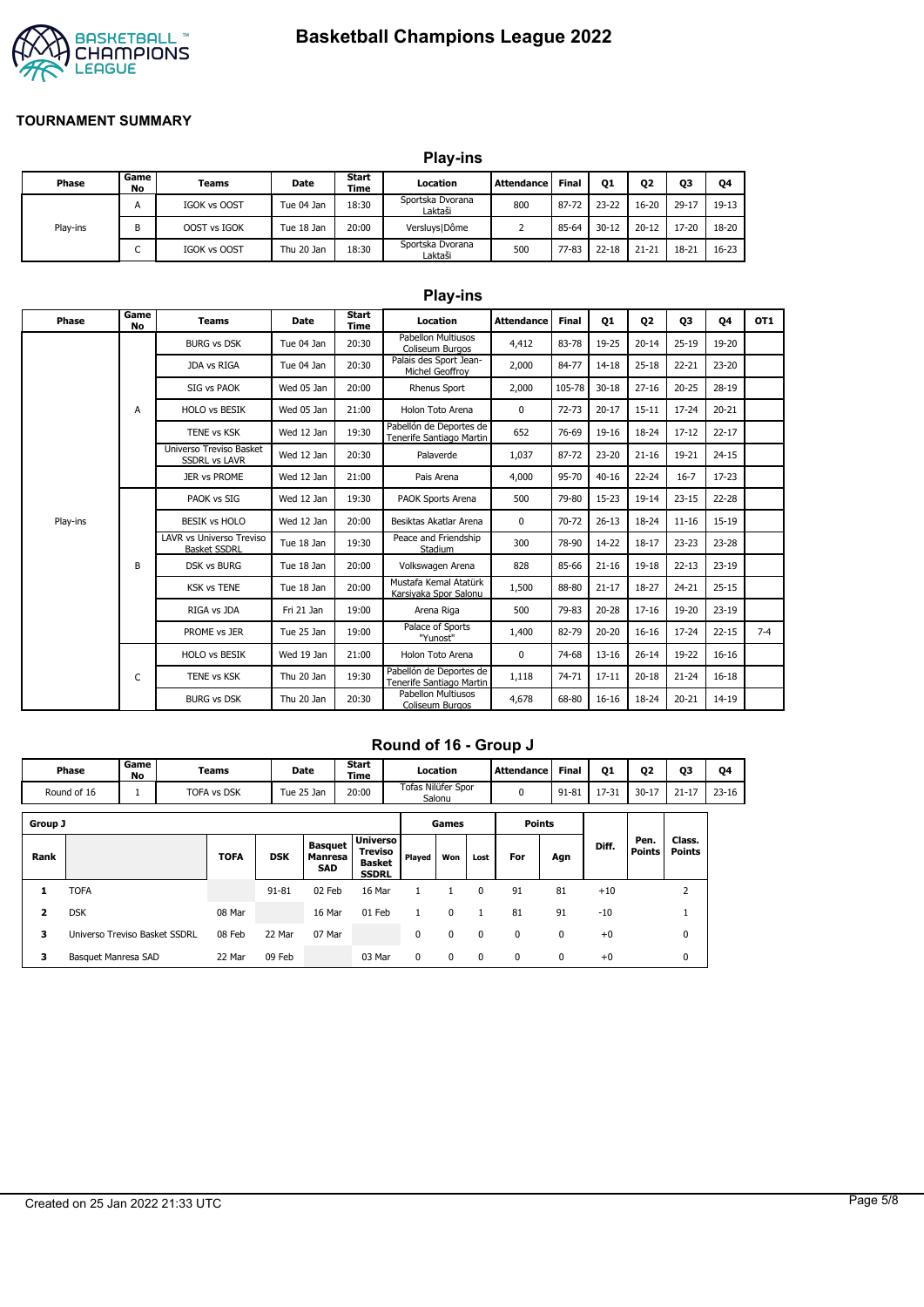# **Basketball Champions League 2022**



#### **TOURNAMENT SUMMARY**

|          |            |              |            |               | <b>Play-ins</b>             |            |       |                |           |           |           |
|----------|------------|--------------|------------|---------------|-----------------------------|------------|-------|----------------|-----------|-----------|-----------|
| Phase    | Game<br>No | Teams        | Date       | Start<br>Time | Location                    | Attendance | Final | Q <sub>1</sub> | Q2        | Q3        | Q4        |
|          | A          | IGOK vs OOST | Tue 04 Jan | 18:30         | Sportska Dvorana<br>Laktaši | 800        | 87-72 | $23 - 22$      | $16 - 20$ | $29 - 17$ | 19-13     |
| Play-ins | B          | OOST vs IGOK | Tue 18 Jan | 20:00         | Versluys   Dôme             |            | 85-64 | $30 - 12$      | $20 - 12$ | 17-20     | 18-20     |
|          | ◡          | IGOK vs OOST | Thu 20 Jan | 18:30         | Sportska Dvorana<br>Laktaši | 500        | 77-83 | $22 - 18$      | $21 - 21$ | $18 - 21$ | $16 - 23$ |

|          |                   |                                                        |            |               | <b>Play-ins</b>                                     |              |           |           |           |           |           |                 |
|----------|-------------------|--------------------------------------------------------|------------|---------------|-----------------------------------------------------|--------------|-----------|-----------|-----------|-----------|-----------|-----------------|
| Phase    | Game<br><b>No</b> | <b>Teams</b>                                           | Date       | Start<br>Time | Location                                            | Attendance   | Final     | 01        | 02        | 03        | 04        | OT <sub>1</sub> |
|          |                   | <b>BURG vs DSK</b>                                     | Tue 04 Jan | 20:30         | <b>Pabellon Multiusos</b><br>Coliseum Burgos        | 4,412        | 83-78     | 19-25     | $20 - 14$ | $25 - 19$ | 19-20     |                 |
|          |                   | JDA vs RIGA                                            | Tue 04 Jan | 20:30         | Palais des Sport Jean-<br>Michel Geoffroy           | 2,000        | 84-77     | 14-18     | $25 - 18$ | $22 - 21$ | $23 - 20$ |                 |
|          |                   | SIG vs PAOK                                            | Wed 05 Jan | 20:00         | <b>Rhenus Sport</b>                                 | 2,000        | 105-78    | $30 - 18$ | $27 - 16$ | $20 - 25$ | 28-19     |                 |
|          | A                 | <b>HOLO vs BESIK</b>                                   | Wed 05 Jan | 21:00         | Holon Toto Arena                                    | $\mathbf{0}$ | $72 - 73$ | $20 - 17$ | $15 - 11$ | $17 - 24$ | $20 - 21$ |                 |
|          |                   | <b>TENE vs KSK</b>                                     | Wed 12 Jan | 19:30         | Pabellón de Deportes de<br>Tenerife Santiago Martin | 652          | 76-69     | 19-16     | 18-24     | $17 - 12$ | $22 - 17$ |                 |
|          |                   | <b>Universo Treviso Basket</b><br><b>SSDRL vs LAVR</b> | Wed 12 Jan | 20:30         | Palaverde                                           | 1,037        | 87-72     | $23 - 20$ | $21 - 16$ | 19-21     | $24 - 15$ |                 |
|          |                   | JER vs PROME                                           | Wed 12 Jan | 21:00         | Pais Arena                                          | 4,000        | 95-70     | $40 - 16$ | $22 - 24$ | $16 - 7$  | $17-23$   |                 |
|          |                   | PAOK vs SIG                                            | Wed 12 Jan | 19:30         | PAOK Sports Arena                                   | 500          | 79-80     | $15-23$   | 19-14     | $23 - 15$ | $22 - 28$ |                 |
| Play-ins |                   | <b>BESIK vs HOLO</b>                                   | Wed 12 Jan | 20:00         | Besiktas Akatlar Arena                              | $\Omega$     | 70-72     | $26 - 13$ | 18-24     | $11 - 16$ | $15-19$   |                 |
|          |                   | LAVR vs Universo Treviso<br><b>Basket SSDRL</b>        | Tue 18 Jan | 19:30         | Peace and Friendship<br>Stadium                     | 300          | 78-90     | 14-22     | $18 - 17$ | $23 - 23$ | $23 - 28$ |                 |
|          | B                 | <b>DSK vs BURG</b>                                     | Tue 18 Jan | 20:00         | Volkswagen Arena                                    | 828          | 85-66     | $21 - 16$ | $19-18$   | $22 - 13$ | $23-19$   |                 |
|          |                   | <b>KSK vs TENE</b>                                     | Tue 18 Jan | 20:00         | Mustafa Kemal Atatürk<br>Karsiyaka Spor Salonu      | 1,500        | 88-80     | $21 - 17$ | 18-27     | $24 - 21$ | $25 - 15$ |                 |
|          |                   | RIGA vs JDA                                            | Fri 21 Jan | 19:00         | Arena Riga                                          | 500          | 79-83     | $20 - 28$ | $17 - 16$ | 19-20     | $23-19$   |                 |
|          |                   | PROME vs JER                                           | Tue 25 Jan | 19:00         | Palace of Sports<br>"Yunost"                        | 1,400        | 82-79     | $20 - 20$ | $16 - 16$ | $17 - 24$ | $22 - 15$ | $7 - 4$         |
|          |                   | <b>HOLO vs BESIK</b>                                   | Wed 19 Jan | 21:00         | Holon Toto Arena                                    | 0            | 74-68     | $13 - 16$ | $26 - 14$ | 19-22     | $16 - 16$ |                 |
|          | C                 | <b>TENE vs KSK</b>                                     | Thu 20 Jan | 19:30         | Pabellón de Deportes de<br>Tenerife Santiago Martin | 1,118        | 74-71     | $17 - 11$ | $20 - 18$ | $21 - 24$ | $16 - 18$ |                 |
|          |                   | <b>BURG vs DSK</b>                                     | Thu 20 Jan | 20:30         | <b>Pabellon Multiusos</b><br>Coliseum Burgos        | 4,678        | 68-80     | $16 - 16$ | 18-24     | $20 - 21$ | 14-19     |                 |

### **Round of 16 - Group J**

|                         | Game<br>Phase<br>No           |          | Teams              |            | Date                                           | Start<br>Time                                               |                              | Location |      | Attendance    | <b>Final</b> | Q1    | Q2             | Q3                      | Q4        |
|-------------------------|-------------------------------|----------|--------------------|------------|------------------------------------------------|-------------------------------------------------------------|------------------------------|----------|------|---------------|--------------|-------|----------------|-------------------------|-----------|
|                         | Round of 16                   | <b>I</b> | <b>TOFA vs DSK</b> |            | Tue 25 Jan                                     | 20:00                                                       | Tofas Nilüfer Spor<br>Salonu |          |      | 0             | $91 - 81$    | 17-31 | $30 - 17$      | $21 - 17$               | $23 - 16$ |
| Group J                 |                               |          |                    |            |                                                |                                                             |                              | Games    |      | <b>Points</b> |              |       |                |                         |           |
| Rank                    |                               |          | <b>TOFA</b>        | <b>DSK</b> | <b>Basquet</b><br><b>Manresa</b><br><b>SAD</b> | <b>Universo</b><br>Treviso<br><b>Basket</b><br><b>SSDRL</b> | Played                       | Won      | Lost | For           | Agn          | Diff. | Pen.<br>Points | Class.<br><b>Points</b> |           |
| 1                       | <b>TOFA</b>                   |          |                    | $91 - 81$  | 02 Feb                                         | 16 Mar                                                      |                              |          | 0    | 91            | 81           | $+10$ |                | 2                       |           |
| $\overline{\mathbf{2}}$ | <b>DSK</b>                    |          | 08 Mar             |            | 16 Mar                                         | 01 Feb                                                      |                              | 0        |      | 81            | 91           | $-10$ |                | щ                       |           |
| 3                       | Universo Treviso Basket SSDRL |          | 08 Feb             | 22 Mar     | 07 Mar                                         |                                                             | 0                            | 0        | 0    | 0             | 0            | $+0$  |                | 0                       |           |
| 3                       | Basquet Manresa SAD           |          | 22 Mar             | 09 Feb     |                                                | 03 Mar                                                      | 0                            | 0        | 0    | 0             | 0            | $+0$  |                | 0                       |           |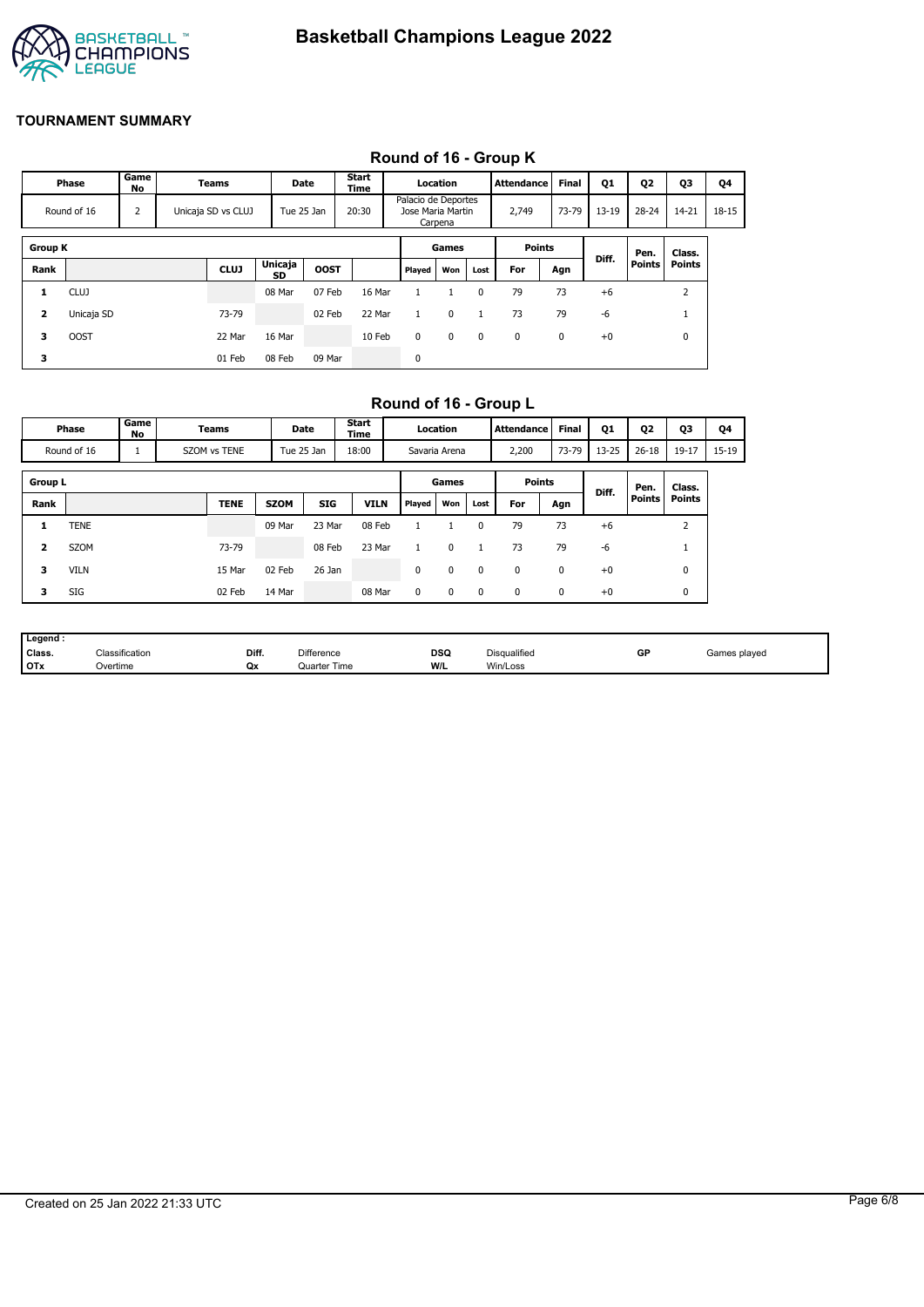

#### **Round of 16 - Group K**

|                         | Phase                                  | Game<br>No |  | <b>Teams</b> | Date                 |             | Start<br><b>Time</b> |                                                     | Location |             | <b>Attendance</b> | Final     | Q1                     | Q2        | <b>Q3</b>     | Q4 |
|-------------------------|----------------------------------------|------------|--|--------------|----------------------|-------------|----------------------|-----------------------------------------------------|----------|-------------|-------------------|-----------|------------------------|-----------|---------------|----|
|                         | 2<br>Round of 16<br>Unicaja SD vs CLUJ |            |  |              | 20:30<br>Tue 25 Jan  |             |                      | Palacio de Deportes<br>Jose Maria Martin<br>Carpena |          | 2,749       | 73-79             | $13 - 19$ | $28 - 24$              | $14 - 21$ | 18-15         |    |
| <b>Group K</b>          |                                        |            |  |              |                      |             |                      |                                                     | Games    |             | <b>Points</b>     |           |                        | Pen.      | Class.        |    |
| Rank                    |                                        |            |  | <b>CLUJ</b>  | <b>Unicaja</b><br>SD | <b>OOST</b> |                      | Played                                              | Won      | Lost        | For               | Agn       | Diff.<br><b>Points</b> |           | <b>Points</b> |    |
| 1                       | <b>CLUJ</b>                            |            |  |              | 08 Mar               | 07 Feb      | 16 Mar               |                                                     |          | 0           | 79                | 73        | $+6$                   |           | 2             |    |
| $\overline{\mathbf{z}}$ | Unicaja SD                             |            |  | 73-79        |                      | 02 Feb      | 22 Mar               |                                                     | 0        | 1           | 73                | 79        | -6                     |           |               |    |
| 3                       | <b>OOST</b>                            |            |  | 22 Mar       | 16 Mar               |             | 10 Feb               | 0                                                   | 0        | $\mathbf 0$ | 0                 | 0         | $+0$                   |           | 0             |    |
| 3                       |                                        |            |  | 01 Feb       | 08 Feb               | 09 Mar      |                      | 0                                                   |          |             |                   |           |                        |           |               |    |

## **Round of 16 - Group L**

| Game<br>Phase<br>No |                                                                |  | Teams                  | Date        |               | Start<br>Time |             | Location    |             | <b>Attendance</b> | <b>Final</b> | Q1      | Q <sub>2</sub> | Q3            | Q4             |  |
|---------------------|----------------------------------------------------------------|--|------------------------|-------------|---------------|---------------|-------------|-------------|-------------|-------------------|--------------|---------|----------------|---------------|----------------|--|
|                     | SZOM vs TENE<br>Tue 25 Jan<br>Round of 16<br>18:00<br><b>L</b> |  |                        |             | Savaria Arena |               | 2,200       | 73-79       | $13 - 25$   | $26 - 18$         | $19 - 17$    | $15-19$ |                |               |                |  |
| <b>Group L</b>      |                                                                |  | <b>Points</b><br>Games |             |               |               |             |             |             |                   | Pen.         | Class.  |                |               |                |  |
| Rank                |                                                                |  |                        | <b>TENE</b> | <b>SZOM</b>   | <b>SIG</b>    | <b>VILN</b> | Played      | Won         | Lost              | For          | Agn     | Diff.          | <b>Points</b> | <b>Points</b>  |  |
| 1                   | TENE                                                           |  |                        |             | 09 Mar        | 23 Mar        | 08 Feb      |             |             | 0                 | 79           | 73      | $+6$           |               | $\overline{2}$ |  |
| 2                   | <b>SZOM</b>                                                    |  |                        | 73-79       |               | 08 Feb        | 23 Mar      |             | $\mathbf 0$ | 1                 | 73           | 79      | -6             |               | щ              |  |
| з                   | <b>VILN</b>                                                    |  |                        | 15 Mar      | 02 Feb        | 26 Jan        |             | 0           | $\mathbf 0$ | 0                 | 0            | 0       | $+0$           |               | 0              |  |
| 3                   | SIG                                                            |  |                        | 02 Feb      | 14 Mar        |               | 08 Mar      | $\mathbf 0$ | $\mathbf 0$ | $\mathbf 0$       | 0            | 0       | $+0$           |               | 0              |  |

| Legend |                                            |       |                   |            |              |    |              |
|--------|--------------------------------------------|-------|-------------------|------------|--------------|----|--------------|
| Class. | $\overline{\phantom{a}}$<br>Classification | Diff. | <b>Difference</b> | <b>DSQ</b> | Disqualified | GP | Games played |
| I OTx  | Overtime                                   | Qx    | Quarter Time      | W/L        | Win/Loss     |    |              |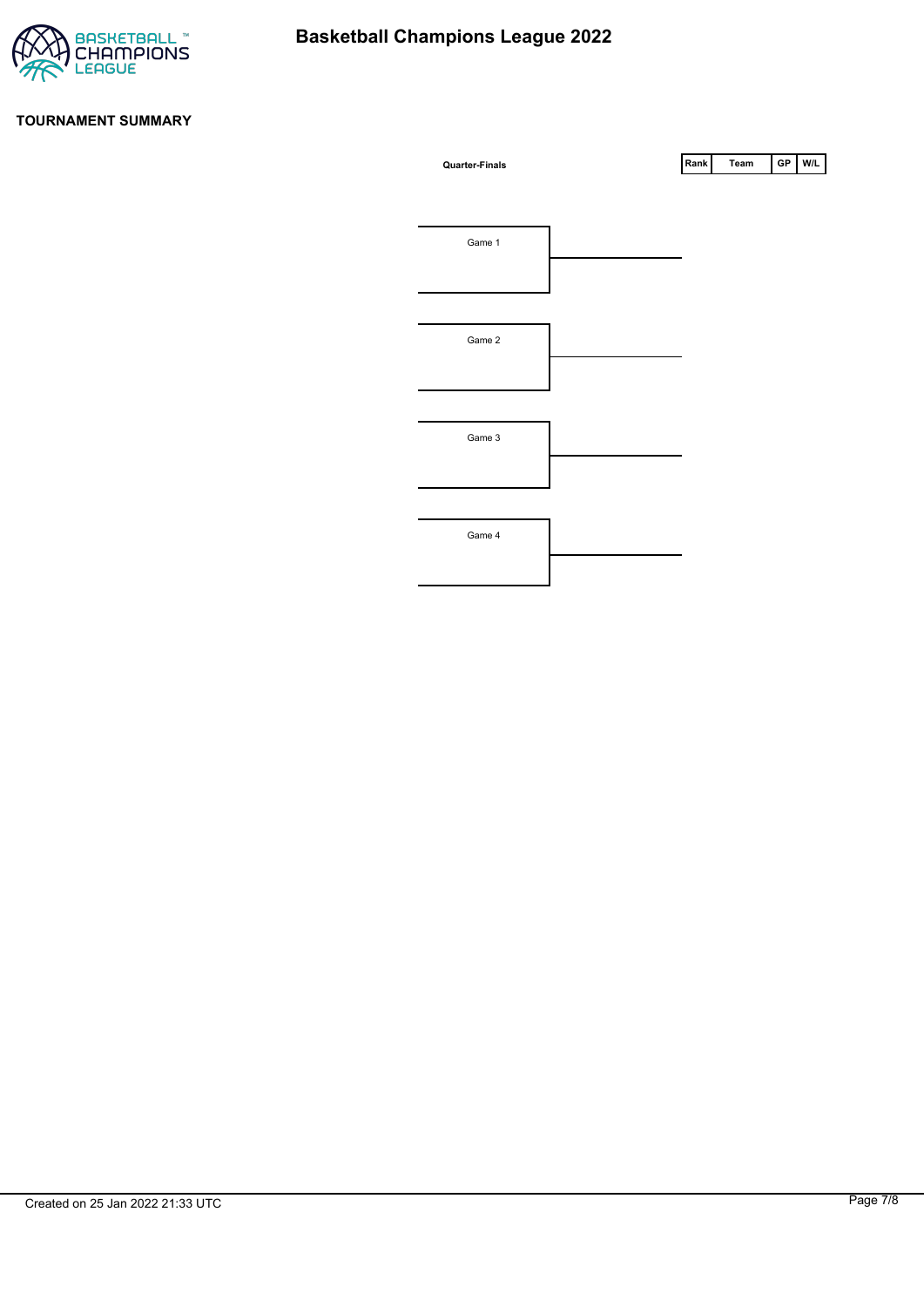